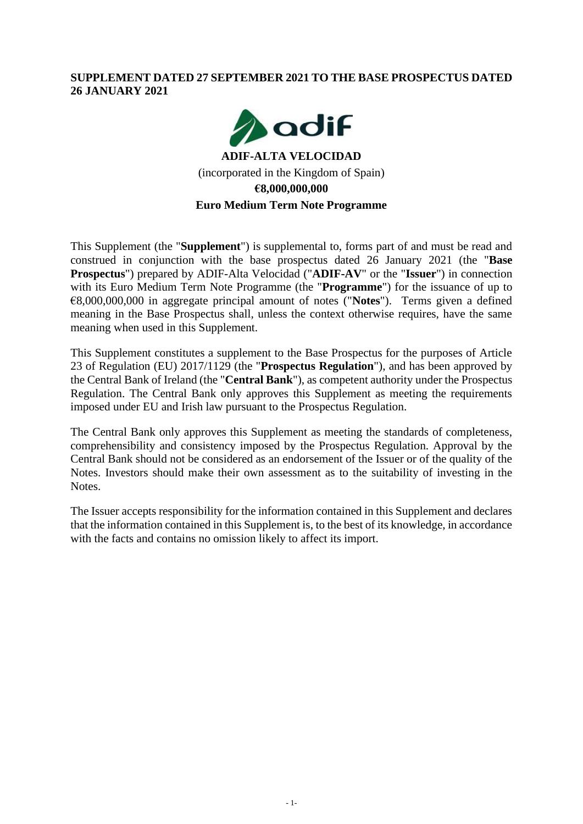## **SUPPLEMENT DATED 27 SEPTEMBER 2021 TO THE BASE PROSPECTUS DATED 26 JANUARY 2021**



# **ADIF-ALTA VELOCIDAD** (incorporated in the Kingdom of Spain) **€8,000,000,000 Euro Medium Term Note Programme**

This Supplement (the "**Supplement**") is supplemental to, forms part of and must be read and construed in conjunction with the base prospectus dated 26 January 2021 (the "**Base Prospectus**") prepared by ADIF-Alta Velocidad ("**ADIF-AV**" or the "**Issuer**") in connection with its Euro Medium Term Note Programme (the "**Programme**") for the issuance of up to €8,000,000,000 in aggregate principal amount of notes ("**Notes**"). Terms given a defined meaning in the Base Prospectus shall, unless the context otherwise requires, have the same meaning when used in this Supplement.

This Supplement constitutes a supplement to the Base Prospectus for the purposes of Article 23 of Regulation (EU) 2017/1129 (the "**Prospectus Regulation**"), and has been approved by the Central Bank of Ireland (the "**Central Bank**"), as competent authority under the Prospectus Regulation. The Central Bank only approves this Supplement as meeting the requirements imposed under EU and Irish law pursuant to the Prospectus Regulation.

The Central Bank only approves this Supplement as meeting the standards of completeness, comprehensibility and consistency imposed by the Prospectus Regulation. Approval by the Central Bank should not be considered as an endorsement of the Issuer or of the quality of the Notes. Investors should make their own assessment as to the suitability of investing in the Notes.

The Issuer accepts responsibility for the information contained in this Supplement and declares that the information contained in this Supplement is, to the best of its knowledge, in accordance with the facts and contains no omission likely to affect its import.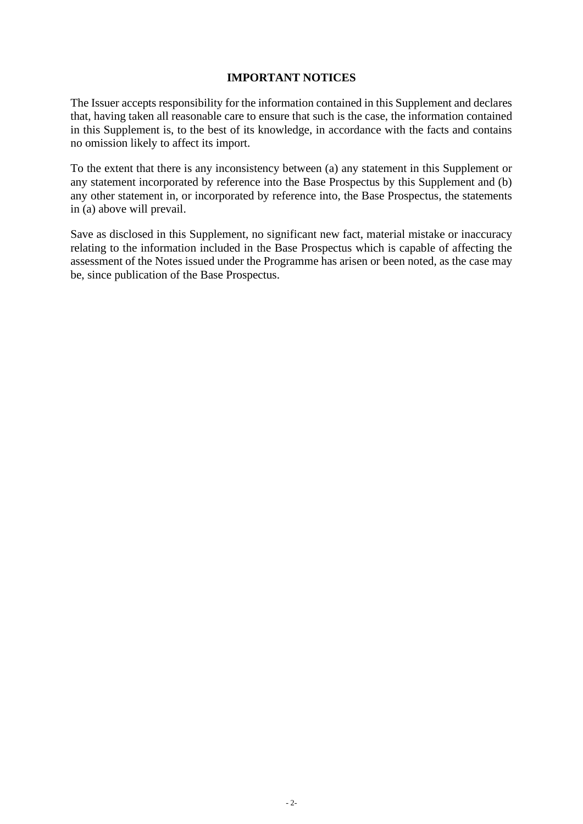### **IMPORTANT NOTICES**

The Issuer accepts responsibility for the information contained in this Supplement and declares that, having taken all reasonable care to ensure that such is the case, the information contained in this Supplement is, to the best of its knowledge, in accordance with the facts and contains no omission likely to affect its import.

To the extent that there is any inconsistency between (a) any statement in this Supplement or any statement incorporated by reference into the Base Prospectus by this Supplement and (b) any other statement in, or incorporated by reference into, the Base Prospectus, the statements in (a) above will prevail.

Save as disclosed in this Supplement, no significant new fact, material mistake or inaccuracy relating to the information included in the Base Prospectus which is capable of affecting the assessment of the Notes issued under the Programme has arisen or been noted, as the case may be, since publication of the Base Prospectus.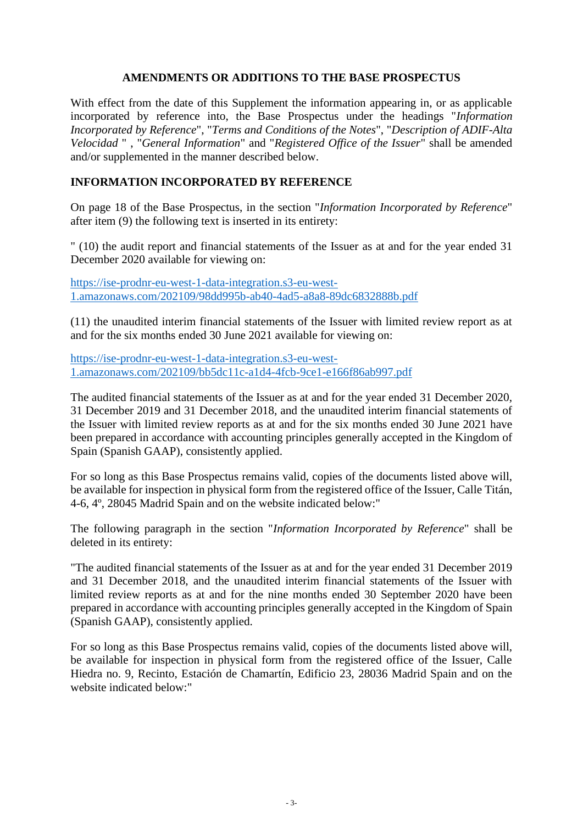### **AMENDMENTS OR ADDITIONS TO THE BASE PROSPECTUS**

With effect from the date of this Supplement the information appearing in, or as applicable incorporated by reference into, the Base Prospectus under the headings "*Information Incorporated by Reference*", "*Terms and Conditions of the Notes*", "*Description of ADIF-Alta Velocidad* " , "*General Information*" and "*Registered Office of the Issuer*" shall be amended and/or supplemented in the manner described below.

### **INFORMATION INCORPORATED BY REFERENCE**

On page 18 of the Base Prospectus, in the section "*Information Incorporated by Reference*" after item (9) the following text is inserted in its entirety:

" (10) the audit report and financial statements of the Issuer as at and for the year ended 31 December 2020 available for viewing on:

[https://ise-prodnr-eu-west-1-data-integration.s3-eu-west-](https://eur05.safelinks.protection.outlook.com/?url=https%3A%2F%2Fise-prodnr-eu-west-1-data-integration.s3-eu-west-1.amazonaws.com%2F202109%2F98dd995b-ab40-4ad5-a8a8-89dc6832888b.pdf&data=04%7C01%7Cnerea.cemlyn-jones%40dlapiper.com%7Cdc136aed429043ccbd7808d97c6086ce%7Ce855e7acc54640d299f7a100522010f9%7C1%7C0%7C637677576283403804%7CUnknown%7CTWFpbGZsb3d8eyJWIjoiMC4wLjAwMDAiLCJQIjoiV2luMzIiLCJBTiI6Ik1haWwiLCJXVCI6Mn0%3D%7C3000&sdata=%2Bat7vpctItySxmxu%2BeQf8b%2FdeQlmPB%2BAhohNZkV%2FvdA%3D&reserved=0)[1.amazonaws.com/202109/98dd995b-ab40-4ad5-a8a8-89dc6832888b.pdf](https://eur05.safelinks.protection.outlook.com/?url=https%3A%2F%2Fise-prodnr-eu-west-1-data-integration.s3-eu-west-1.amazonaws.com%2F202109%2F98dd995b-ab40-4ad5-a8a8-89dc6832888b.pdf&data=04%7C01%7Cnerea.cemlyn-jones%40dlapiper.com%7Cdc136aed429043ccbd7808d97c6086ce%7Ce855e7acc54640d299f7a100522010f9%7C1%7C0%7C637677576283403804%7CUnknown%7CTWFpbGZsb3d8eyJWIjoiMC4wLjAwMDAiLCJQIjoiV2luMzIiLCJBTiI6Ik1haWwiLCJXVCI6Mn0%3D%7C3000&sdata=%2Bat7vpctItySxmxu%2BeQf8b%2FdeQlmPB%2BAhohNZkV%2FvdA%3D&reserved=0)

(11) the unaudited interim financial statements of the Issuer with limited review report as at and for the six months ended 30 June 2021 available for viewing on:

[https://ise-prodnr-eu-west-1-data-integration.s3-eu-west-](https://eur05.safelinks.protection.outlook.com/?url=https%3A%2F%2Fise-prodnr-eu-west-1-data-integration.s3-eu-west-1.amazonaws.com%2F202109%2Fbb5dc11c-a1d4-4fcb-9ce1-e166f86ab997.pdf&data=04%7C01%7Cnerea.cemlyn-jones%40dlapiper.com%7Ca8669405c8964c41051c08d97cf10fff%7Ce855e7acc54640d299f7a100522010f9%7C1%7C0%7C637678197066608801%7CUnknown%7CTWFpbGZsb3d8eyJWIjoiMC4wLjAwMDAiLCJQIjoiV2luMzIiLCJBTiI6Ik1haWwiLCJXVCI6Mn0%3D%7C3000&sdata=7JAmPOpxSUgkV9acvkJrFQncjGsCdj1f0AKb70dcbRI%3D&reserved=0)[1.amazonaws.com/202109/bb5dc11c-a1d4-4fcb-9ce1-e166f86ab997.pdf](https://eur05.safelinks.protection.outlook.com/?url=https%3A%2F%2Fise-prodnr-eu-west-1-data-integration.s3-eu-west-1.amazonaws.com%2F202109%2Fbb5dc11c-a1d4-4fcb-9ce1-e166f86ab997.pdf&data=04%7C01%7Cnerea.cemlyn-jones%40dlapiper.com%7Ca8669405c8964c41051c08d97cf10fff%7Ce855e7acc54640d299f7a100522010f9%7C1%7C0%7C637678197066608801%7CUnknown%7CTWFpbGZsb3d8eyJWIjoiMC4wLjAwMDAiLCJQIjoiV2luMzIiLCJBTiI6Ik1haWwiLCJXVCI6Mn0%3D%7C3000&sdata=7JAmPOpxSUgkV9acvkJrFQncjGsCdj1f0AKb70dcbRI%3D&reserved=0)

The audited financial statements of the Issuer as at and for the year ended 31 December 2020, 31 December 2019 and 31 December 2018, and the unaudited interim financial statements of the Issuer with limited review reports as at and for the six months ended 30 June 2021 have been prepared in accordance with accounting principles generally accepted in the Kingdom of Spain (Spanish GAAP), consistently applied.

For so long as this Base Prospectus remains valid, copies of the documents listed above will, be available for inspection in physical form from the registered office of the Issuer, Calle Titán, 4-6, 4º, 28045 Madrid Spain and on the website indicated below:"

The following paragraph in the section "*Information Incorporated by Reference*" shall be deleted in its entirety:

"The audited financial statements of the Issuer as at and for the year ended 31 December 2019 and 31 December 2018, and the unaudited interim financial statements of the Issuer with limited review reports as at and for the nine months ended 30 September 2020 have been prepared in accordance with accounting principles generally accepted in the Kingdom of Spain (Spanish GAAP), consistently applied.

For so long as this Base Prospectus remains valid, copies of the documents listed above will, be available for inspection in physical form from the registered office of the Issuer, Calle Hiedra no. 9, Recinto, Estación de Chamartín, Edificio 23, 28036 Madrid Spain and on the website indicated below:"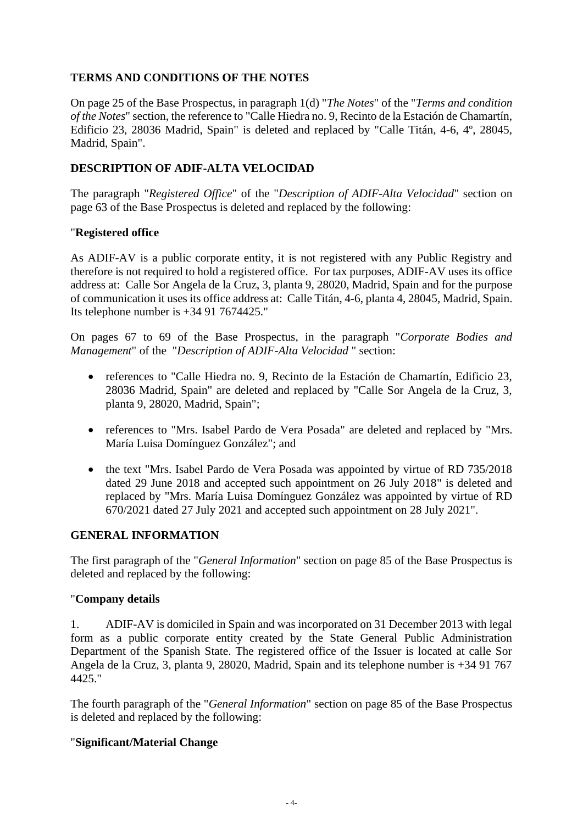# **TERMS AND CONDITIONS OF THE NOTES**

On page 25 of the Base Prospectus, in paragraph 1(d) "*The Notes*" of the "*Terms and condition of the Notes*" section, the reference to "Calle Hiedra no. 9, Recinto de la Estación de Chamartín, Edificio 23, 28036 Madrid, Spain" is deleted and replaced by "Calle Titán, 4-6, 4º, 28045, Madrid, Spain".

# **DESCRIPTION OF ADIF-ALTA VELOCIDAD**

The paragraph "*Registered Office*" of the "*Description of ADIF-Alta Velocidad*" section on page 63 of the Base Prospectus is deleted and replaced by the following:

### "**Registered office**

As ADIF-AV is a public corporate entity, it is not registered with any Public Registry and therefore is not required to hold a registered office. For tax purposes, ADIF-AV uses its office address at: Calle Sor Angela de la Cruz, 3, planta 9, 28020, Madrid, Spain and for the purpose of communication it uses its office address at: Calle Titán, 4-6, planta 4, 28045, Madrid, Spain. Its telephone number is  $+34917674425$ ."

On pages 67 to 69 of the Base Prospectus, in the paragraph "*Corporate Bodies and Management*" of the "*Description of ADIF-Alta Velocidad* " section:

- references to "Calle Hiedra no. 9, Recinto de la Estación de Chamartín, Edificio 23, 28036 Madrid, Spain" are deleted and replaced by "Calle Sor Angela de la Cruz, 3, planta 9, 28020, Madrid, Spain";
- references to "Mrs. Isabel Pardo de Vera Posada" are deleted and replaced by "Mrs. María Luisa Domínguez González"; and
- the text "Mrs. Isabel Pardo de Vera Posada was appointed by virtue of RD 735/2018 dated 29 June 2018 and accepted such appointment on 26 July 2018" is deleted and replaced by "Mrs. María Luisa Domínguez González was appointed by virtue of RD 670/2021 dated 27 July 2021 and accepted such appointment on 28 July 2021".

## **GENERAL INFORMATION**

The first paragraph of the "*General Information*" section on page 85 of the Base Prospectus is deleted and replaced by the following:

#### "**Company details**

1. ADIF-AV is domiciled in Spain and was incorporated on 31 December 2013 with legal form as a public corporate entity created by the State General Public Administration Department of the Spanish State. The registered office of the Issuer is located at calle Sor Angela de la Cruz, 3, planta 9, 28020, Madrid, Spain and its telephone number is +34 91 767 4425."

The fourth paragraph of the "*General Information*" section on page 85 of the Base Prospectus is deleted and replaced by the following:

#### "**Significant/Material Change**